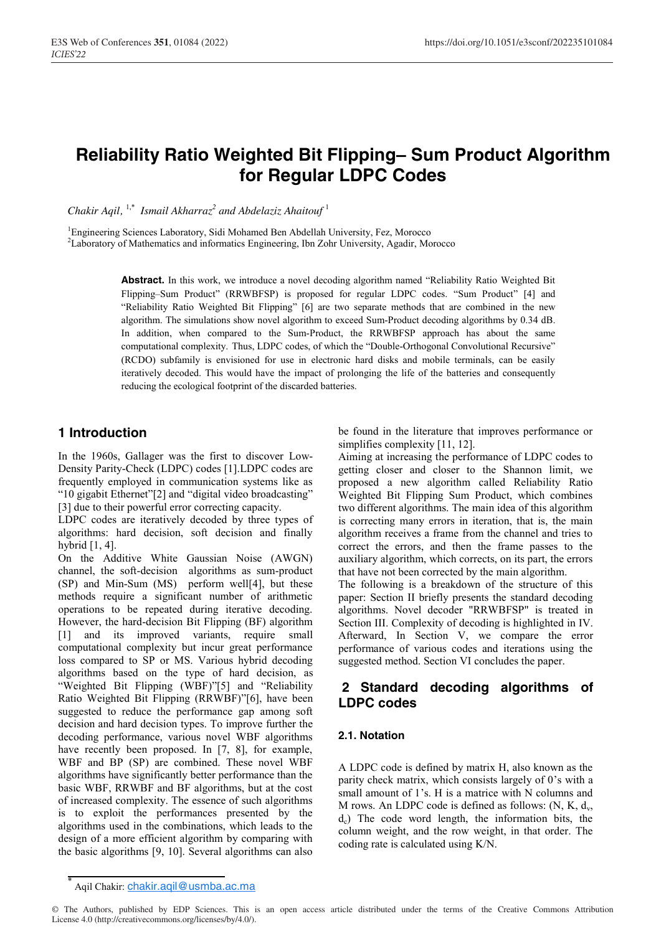# **Reliability Ratio Weighted Bit Flipping– Sum Product Algorithm for Regular LDPC Codes**

*Chakir Aqil,* 1,\* *Ismail Akharraz<sup>2</sup> and Abdelaziz Ahaitouf* <sup>1</sup>

<sup>1</sup>Engineering Sciences Laboratory, Sidi Mohamed Ben Abdellah University, Fez, Morocco

2 Laboratory of Mathematics and informatics Engineering, Ibn Zohr University, Agadir, Morocco

**Abstract.** In this work, we introduce a novel decoding algorithm named "Reliability Ratio Weighted Bit Flipping–Sum Product" (RRWBFSP) is proposed for regular LDPC codes. "Sum Product" [4] and "Reliability Ratio Weighted Bit Flipping" [6] are two separate methods that are combined in the new algorithm. The simulations show novel algorithm to exceed Sum-Product decoding algorithms by 0.34 dB. In addition, when compared to the Sum-Product, the RRWBFSP approach has about the same computational complexity. Thus, LDPC codes, of which the "Double-Orthogonal Convolutional Recursive" (RCDO) subfamily is envisioned for use in electronic hard disks and mobile terminals, can be easily iteratively decoded. This would have the impact of prolonging the life of the batteries and consequently reducing the ecological footprint of the discarded batteries.

### **1 Introduction**

In the 1960s, Gallager was the first to discover Low-Density Parity-Check (LDPC) codes [1].LDPC codes are frequently employed in communication systems like as "10 gigabit Ethernet"[2] and "digital video broadcasting" [3] due to their powerful error correcting capacity.

LDPC codes are iteratively decoded by three types of algorithms: hard decision, soft decision and finally hybrid [1, 4].

On the Additive White Gaussian Noise (AWGN) channel, the soft-decision algorithms as sum-product (SP) and Min-Sum (MS) perform well[4], but these methods require a significant number of arithmetic operations to be repeated during iterative decoding. However, the hard-decision Bit Flipping (BF) algorithm [1] and its improved variants, require small computational complexity but incur great performance loss compared to SP or MS. Various hybrid decoding algorithms based on the type of hard decision, as "Weighted Bit Flipping (WBF)"[5] and "Reliability Ratio Weighted Bit Flipping (RRWBF)"[6], have been suggested to reduce the performance gap among soft decision and hard decision types. To improve further the decoding performance, various novel WBF algorithms have recently been proposed. In [7, 8], for example, WBF and BP (SP) are combined. These novel WBF algorithms have significantly better performance than the basic WBF, RRWBF and BF algorithms, but at the cost of increased complexity. The essence of such algorithms is to exploit the performances presented by the algorithms used in the combinations, which leads to the design of a more efficient algorithm by comparing with the basic algorithms [9, 10]. Several algorithms can also

be found in the literature that improves performance or simplifies complexity [11, 12].

Aiming at increasing the performance of LDPC codes to getting closer and closer to the Shannon limit, we proposed a new algorithm called Reliability Ratio Weighted Bit Flipping Sum Product, which combines two different algorithms. The main idea of this algorithm is correcting many errors in iteration, that is, the main algorithm receives a frame from the channel and tries to correct the errors, and then the frame passes to the auxiliary algorithm, which corrects, on its part, the errors that have not been corrected by the main algorithm. The following is a breakdown of the structure of this

paper: Section II briefly presents the standard decoding algorithms. Novel decoder "RRWBFSP" is treated in Section III. Complexity of decoding is highlighted in IV. Afterward, In Section V, we compare the error performance of various codes and iterations using the suggested method. Section VI concludes the paper.

### **2 Standard decoding algorithms of LDPC codes**

#### **2.1. Notation**

A LDPC code is defined by matrix H, also known as the parity check matrix, which consists largely of 0's with a small amount of 1's. H is a matrice with N columns and M rows. An LDPC code is defined as follows:  $(N, K, d<sub>v</sub>,$  $d<sub>c</sub>$ ) The code word length, the information bits, the column weight, and the row weight, in that order. The coding rate is calculated using K/N.

Aqil Chakir: chakir.aqil@usmba.ac.ma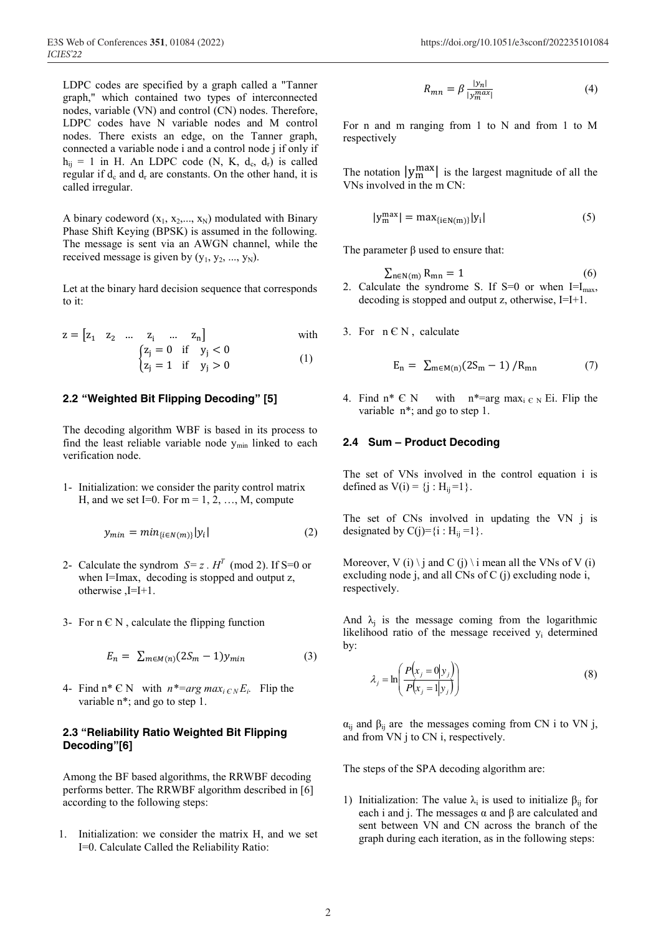LDPC codes are specified by a graph called a "Tanner graph," which contained two types of interconnected nodes, variable (VN) and control (CN) nodes. Therefore, LDPC codes have N variable nodes and M control nodes. There exists an edge, on the Tanner graph, connected a variable node i and a control node j if only if  $h_{ij} = 1$  in H. An LDPC code (N, K, d<sub>c</sub>, d<sub>r</sub>) is called regular if  $d_c$  and  $d_r$  are constants. On the other hand, it is called irregular.

A binary codeword  $(x_1, x_2,..., x_N)$  modulated with Binary Phase Shift Keying (BPSK) is assumed in the following. The message is sent via an AWGN channel, while the received message is given by  $(y_1, y_2, ..., y_N)$ .

Let at the binary hard decision sequence that corresponds to it:

$$
z = [z_1 \ z_2 \ \dots \ z_i \ \dots \ z_n] \qquad \text{with}
$$
\n
$$
\begin{cases}\n z_j = 0 \ \text{if} \ y_j < 0 \\
z_i = 1 \ \text{if} \ y_i > 0\n\end{cases} \qquad \qquad (1)
$$

**2.2 "Weighted Bit Flipping Decoding" [5]**

 $\mathbf{z}$ 

The decoding algorithm WBF is based in its process to find the least reliable variable node  $y_{\text{min}}$  linked to each verification node.

1- Initialization: we consider the parity control matrix H, and we set I=0. For  $m = 1, 2, ..., M$ , compute

$$
y_{min} = min_{\{i \in N(m)\}} |y_i|
$$
 (2)

- 2- Calculate the syndrom  $S = z$ .  $H<sup>T</sup>$  (mod 2). If S=0 or when I=Imax, decoding is stopped and output z, otherwise ,I=I+1.
- 3- For  $n \in N$ , calculate the flipping function

$$
E_n = \sum_{m \in M(n)} (2S_m - 1) y_{min} \tag{3}
$$

4- Find  $n^* \in N$  with  $n^* = arg max_{i \in N} E_i$ . Flip the variable  $n^*$ ; and go to step 1.

#### **2.3 "Reliability Ratio Weighted Bit Flipping Decoding"[6]**

Among the BF based algorithms, the RRWBF decoding performs better. The RRWBF algorithm described in [6] according to the following steps:

1. Initialization: we consider the matrix H, and we set I=0. Calculate Called the Reliability Ratio:

$$
R_{mn} = \beta \frac{|y_n|}{|y_m^{max}|} \tag{4}
$$

For n and m ranging from 1 to N and from 1 to M respectively

The notation  $|y_m^{\max}|$  is the largest magnitude of all the VNs involved in the m CN:

$$
|y_m^{\max}| = \max_{\{i \in N(m)\}} |y_i| \tag{5}
$$

The parameter  $\beta$  used to ensure that:

- $\sum_{n \in N(m)} R_{mn} = 1$  (6) 2. Calculate the syndrome S. If  $S=0$  or when  $I=I_{max}$ , decoding is stopped and output z, otherwise, I=I+1.
- 3. For  $n \in N$ , calculate

$$
E_n = \sum_{m \in M(n)} (2S_m - 1) / R_{mn}
$$
 (7)

4. Find  $n^* \in N$  with  $n^* = \arg \max_{i \in N} E_i$ . Flip the variable  $n^*$ ; and go to step 1.

#### **2.4 Sum – Product Decoding**

The set of VNs involved in the control equation i is defined as  $V(i) = \{j : H_{ii} = 1\}$ .

The set of CNs involved in updating the VN j is designated by  $C(j)=\{i : H_{ii}=1\}$ .

Moreover, V (i) \ j and C (j) \ i mean all the VNs of V (i) excluding node j, and all CNs of C (j) excluding node i, respectively.

And  $\lambda_i$  is the message coming from the logarithmic likelihood ratio of the message received yi determined by:

$$
\lambda_j = \ln\left(\frac{P(x_j = 0|y_j)}{P(x_j = 1|y_j)}\right)
$$
\n(8)

 $\alpha_{ii}$  and  $\beta_{ii}$  are the messages coming from CN i to VN j, and from VN j to CN i, respectively.

The steps of the SPA decoding algorithm are:

1) Initialization: The value  $\lambda_i$  is used to initialize  $\beta_{ij}$  for each i and j. The messages  $\alpha$  and  $\beta$  are calculated and sent between VN and CN across the branch of the graph during each iteration, as in the following steps: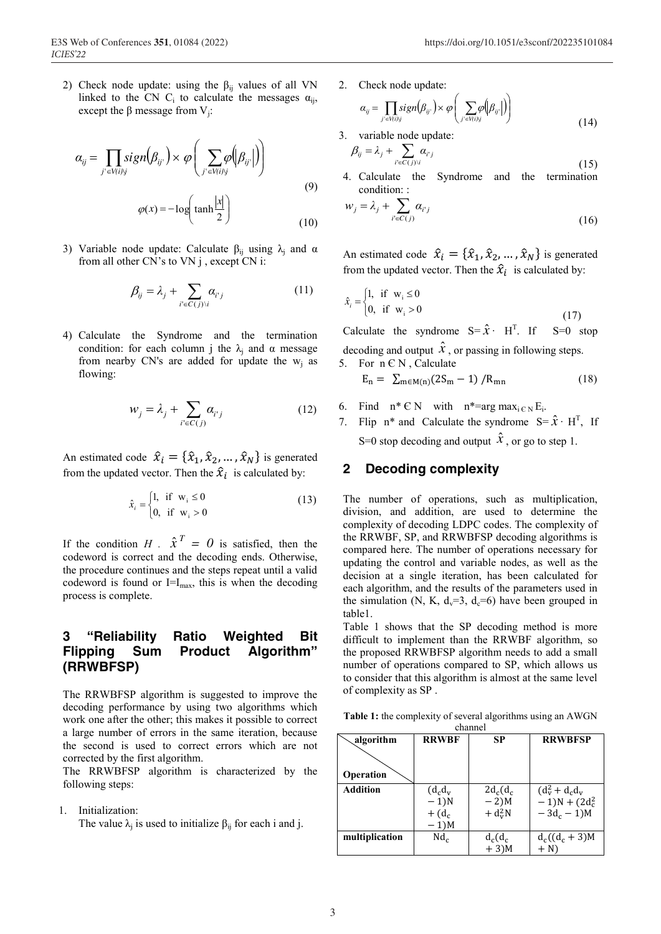2) Check node update: using the  $\beta_{ij}$  values of all VN linked to the CN C<sub>i</sub> to calculate the messages  $\alpha_{ii}$ , except the β message from  $V_i$ :

$$
\alpha_{ij} = \prod_{j' \in V(i)j} sign(\beta_{ij'}) \times \varphi \left( \sum_{j' \in V(i)j} \varphi \left( \beta_{ij'} \right) \right)
$$
  

$$
\varphi(x) = -\log \left( \tanh \frac{|x|}{2} \right)
$$
 (9)

3) Variable node update: Calculate  $\beta_{ii}$  using  $\lambda_i$  and  $\alpha$ from all other CN's to VN j , except CN i:

$$
\beta_{ij} = \lambda_j + \sum_{i' \in C(j)\setminus i} \alpha_{i'j} \tag{11}
$$

4) Calculate the Syndrome and the termination condition: for each column j the  $\lambda_i$  and  $\alpha$  message from nearby CN's are added for update the  $w_j$  as flowing:

$$
w_j = \lambda_j + \sum_{i' \in C(j)} \alpha_{i'j} \tag{12}
$$

An estimated code  $\hat{x}_i = {\hat{x}_1, \hat{x}_2, ..., \hat{x}_N}$  is generated from the updated vector. Then the  $\hat{x}_i$  is calculated by:

$$
\hat{x}_i = \begin{cases} 1, & \text{if } \mathbf{w}_i \le 0 \\ 0, & \text{if } \mathbf{w}_i > 0 \end{cases}
$$
 (13)

If the condition *H* .  $\hat{x}^T = 0$  is satisfied, then the codeword is correct and the decoding ends. Otherwise, the procedure continues and the steps repeat until a valid codeword is found or  $I=I_{max}$ , this is when the decoding process is complete.

### **3 "Reliability Ratio Weighted Bit Flipping Sum Product Algorithm" (RRWBFSP)**

The RRWBFSP algorithm is suggested to improve the decoding performance by using two algorithms which work one after the other; this makes it possible to correct a large number of errors in the same iteration, because the second is used to correct errors which are not corrected by the first algorithm.

The RRWBFSP algorithm is characterized by the following steps:

1. Initialization:

The value  $\lambda_i$  is used to initialize  $\beta_{ii}$  for each i and j.

2. Check node update:

$$
\alpha_{ij} = \prod_{j' \in V(i)j} sign(\beta_{ij'}) \times \varphi\left(\sum_{j' \in V(i)j} \varphi(\beta_{ij'})\right)
$$
\n(14)

3. variable node update:

$$
\beta_{ij} = \lambda_j + \sum_{i' \in C(j)\setminus i} \alpha_{i'j}
$$
\n(15)

4. Calculate the Syndrome and the termination condition: :

$$
w_j = \lambda_j + \sum_{i' \in C(j)} \alpha_{i'j}
$$
\n(16)

An estimated code  $\hat{x}_i = {\hat{x}_1, \hat{x}_2, ..., \hat{x}_N}$  is generated from the updated vector. Then the  $\hat{x}_i$  is calculated by:

$$
\hat{x}_i = \begin{cases} 1, & \text{if } \mathbf{w}_i \le 0 \\ 0, & \text{if } \mathbf{w}_i > 0 \end{cases}
$$
\n(17)

Calculate the syndrome  $S = \hat{x} \cdot H^{T}$ . If  $S=0$  stop decoding and output  $\hat{x}$ , or passing in following steps. 5. For  $n \in N$ , Calculate

$$
E_n = \sum_{m \in M(n)} (2S_m - 1) / R_{mn}
$$
 (18)

- 6. Find  $n^* \in N$  with  $n^* = \arg \max_{i \in N} E_i$ .
- 7. Flip n<sup>\*</sup> and Calculate the syndrome  $S = \hat{X} \cdot H^{T}$ , If S=0 stop decoding and output  $\hat{x}$ , or go to step 1.

#### **2 Decoding complexity**

The number of operations, such as multiplication, division, and addition, are used to determine the complexity of decoding LDPC codes. The complexity of the RRWBF, SP, and RRWBFSP decoding algorithms is compared here. The number of operations necessary for updating the control and variable nodes, as well as the decision at a single iteration, has been calculated for each algorithm, and the results of the parameters used in the simulation (N, K,  $d_v=3$ ,  $d_c=6$ ) have been grouped in table1.

Table 1 shows that the SP decoding method is more difficult to implement than the RRWBF algorithm, so the proposed RRWBFSP algorithm needs to add a small number of operations compared to SP, which allows us to consider that this algorithm is almost at the same level of complexity as SP .

**Table 1:** the complexity of several algorithms using an AWGN channel

| algorithm       | <b>RRWBF</b>        | SP          | <b>RRWBFSP</b>      |  |  |  |
|-----------------|---------------------|-------------|---------------------|--|--|--|
| Operation       |                     |             |                     |  |  |  |
| <b>Addition</b> | $(d_c d_v)$         | $2d_c(d_c)$ | $(d_V^2 + d_c d_V)$ |  |  |  |
|                 | $-1)N$              | $-2$ )M     | $-1)N + (2d_c^2)$   |  |  |  |
|                 | $+$ (d <sub>c</sub> | $+ d_v^2 N$ | $-3d_c - 1$ )M      |  |  |  |
|                 | $-1$ ) $M$          |             |                     |  |  |  |
| multiplication  | Nd <sub>c</sub>     | $d_c(d_c)$  | $d_c((d_c+3)M)$     |  |  |  |
|                 |                     | $+3)M$      | $+ N$               |  |  |  |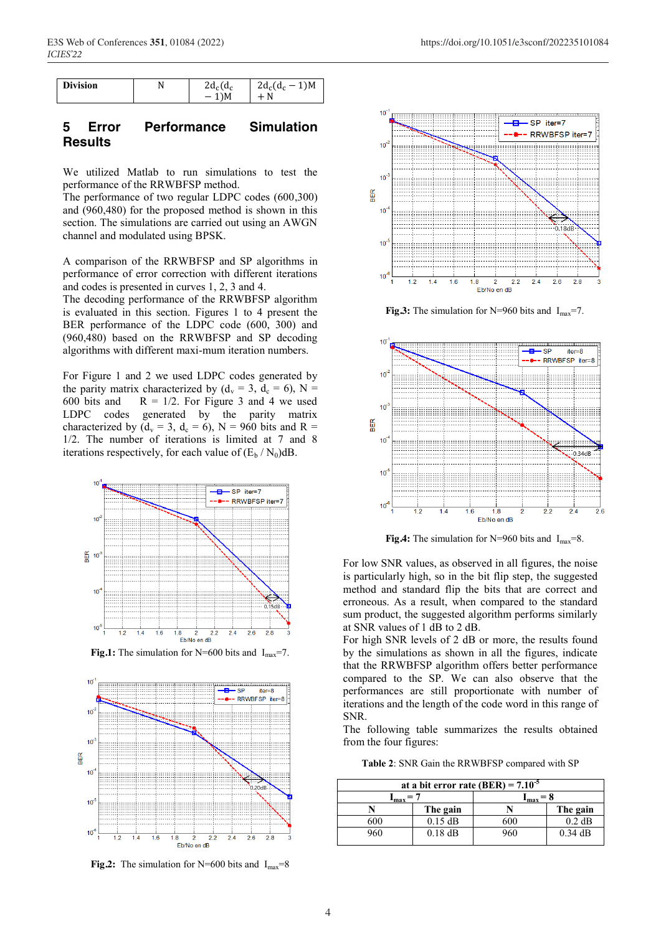| <b>Division</b><br>$2d_c$<br>$^{\circ}$<br>ìМ<br>N<br>$^{\prime}$ d <sub>c</sub><br>$d_c$<br>N |
|------------------------------------------------------------------------------------------------|
|------------------------------------------------------------------------------------------------|

### **5 Error Performance Simulation Results**

We utilized Matlab to run simulations to test the performance of the RRWBFSP method.

The performance of two regular LDPC codes (600,300) and (960,480) for the proposed method is shown in this section. The simulations are carried out using an AWGN channel and modulated using BPSK.

A comparison of the RRWBFSP and SP algorithms in performance of error correction with different iterations and codes is presented in curves 1, 2, 3 and 4.

The decoding performance of the RRWBFSP algorithm is evaluated in this section. Figures 1 to 4 present the BER performance of the LDPC code (600, 300) and (960,480) based on the RRWBFSP and SP decoding algorithms with different maxi-mum iteration numbers.

For Figure 1 and 2 we used LDPC codes generated by the parity matrix characterized by  $(d_v = 3, d_c = 6)$ , N = 600 bits and  $R = 1/2$ . For Figure 3 and 4 we used LDPC codes generated by the parity matrix characterized by ( $d_v = 3$ ,  $d_c = 6$ ), N = 960 bits and R = 1/2. The number of iterations is limited at 7 and 8 iterations respectively, for each value of  $(E_b / N_0)dB$ .



**Fig.1:** The simulation for N=600 bits and  $I_{max}$ =7.



**Fig.2:** The simulation for N=600 bits and  $I_{max}=8$ 



**Fig.3:** The simulation for N=960 bits and  $I_{\text{max}}$ =7.



**Fig.4:** The simulation for N=960 bits and  $I_{max} = 8$ .

For low SNR values, as observed in all figures, the noise is particularly high, so in the bit flip step, the suggested method and standard flip the bits that are correct and erroneous. As a result, when compared to the standard sum product, the suggested algorithm performs similarly at SNR values of 1 dB to 2 dB.

For high SNR levels of 2 dB or more, the results found by the simulations as shown in all the figures, indicate that the RRWBFSP algorithm offers better performance compared to the SP. We can also observe that the performances are still proportionate with number of iterations and the length of the code word in this range of SNR.

The following table summarizes the results obtained from the four figures:

**Table 2**: SNR Gain the RRWBFSP compared with SP

| at a bit error rate (BER) = $7.10^{-5}$ |           |                  |           |  |  |
|-----------------------------------------|-----------|------------------|-----------|--|--|
| max                                     |           | <sup>4</sup> max |           |  |  |
|                                         | The gain  |                  | The gain  |  |  |
| 600                                     | $0.15$ dB | 500              | $0.2$ dB  |  |  |
| 960                                     | $0.18$ dB | 960              | $0.34$ dB |  |  |